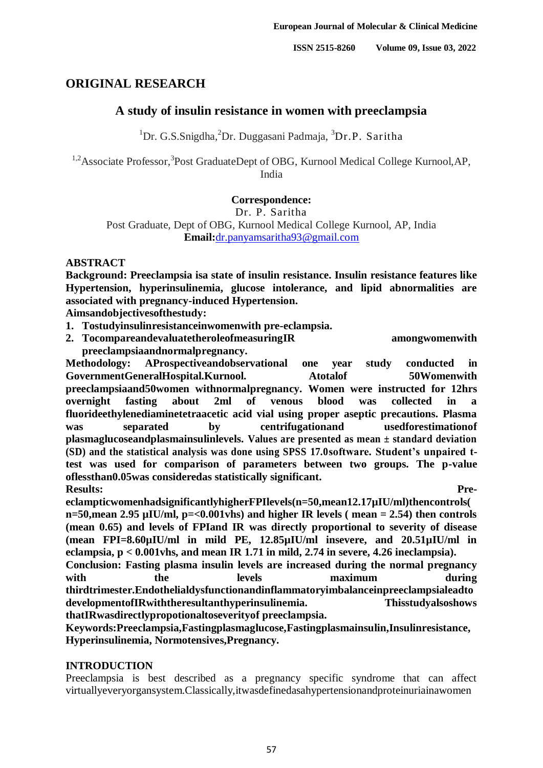# **ORIGINAL RESEARCH**

# **A study of insulin resistance in women with preeclampsia**

<sup>1</sup>Dr. G.S.Snigdha, <sup>2</sup>Dr. Duggasani Padmaja, <sup>3</sup>Dr.P. Saritha

<sup>1,2</sup> Associate Professor,<sup>3</sup> Post Graduate Dept of OBG, Kurnool Medical College Kurnool, AP, India

# **Correspondence:**

Dr. P. Saritha

Post Graduate, Dept of OBG, Kurnool Medical College Kurnool, AP, India **Email:**[dr.panyamsaritha93@gmail.com](about:blank)

# **ABSTRACT**

**Background: Preeclampsia isa state of insulin resistance. Insulin resistance features like Hypertension, hyperinsulinemia, glucose intolerance, and lipid abnormalities are associated with pregnancy-induced Hypertension.**

**Aimsandobjectivesofthestudy:**

- **1. Tostudyinsulinresistanceinwomenwith pre-eclampsia.**
- 2. **TocompareandevaluatetheroleofmeasuringIR** amongwomenwith **preeclampsiaandnormalpregnancy.**

**Methodology: AProspectiveandobservational one year study conducted in** GovernmentGeneralHospital.Kurnool. Atotalof 50Womenwith **preeclampsiaand50women withnormalpregnancy. Women were instructed for 12hrs overnight fasting about 2ml of venous blood was collected in a fluorideethylenediaminetetraacetic acid vial using proper aseptic precautions. Plasma was separated by centrifugationand usedforestimationof plasmaglucoseandplasmainsulinlevels. Values are presented as mean ± standard deviation (SD) and the statistical analysis was done using SPSS 17.0software. Student's unpaired ttest was used for comparison of parameters between two groups. The p-value oflessthan0.05was consideredas statistically significant. Results: Pre-**

**eclampticwomenhadsignificantlyhigherFPIlevels(n=50,mean12.17µIU/ml)thencontrols( n=50,mean 2.95 µIU/ml, p=<0.001vhs) and higher IR levels ( mean = 2.54) then controls (mean 0.65) and levels of FPIand IR was directly proportional to severity of disease (mean FPI=8.60µIU/ml in mild PE, 12.85µIU/ml insevere, and 20.51µIU/ml in eclampsia, p < 0.001vhs, and mean IR 1.71 in mild, 2.74 in severe, 4.26 ineclampsia). Conclusion: Fasting plasma insulin levels are increased during the normal pregnancy** 

with the levels maximum during **thirdtrimester.Endothelialdysfunctionandinflammatoryimbalanceinpreeclampsialeadto developmentofIRwiththeresultanthyperinsulinemia. Thisstudyalsoshows thatIRwasdirectlypropotionaltoseverityof preeclampsia.**

**Keywords:Preeclampsia,Fastingplasmaglucose,Fastingplasmainsulin,Insulinresistance, Hyperinsulinemia, Normotensives,Pregnancy.**

# **INTRODUCTION**

Preeclampsia is best described as a pregnancy specific syndrome that can affect virtuallyeveryorgansystem.Classically,itwasdefinedasahypertensionandproteinuriainawomen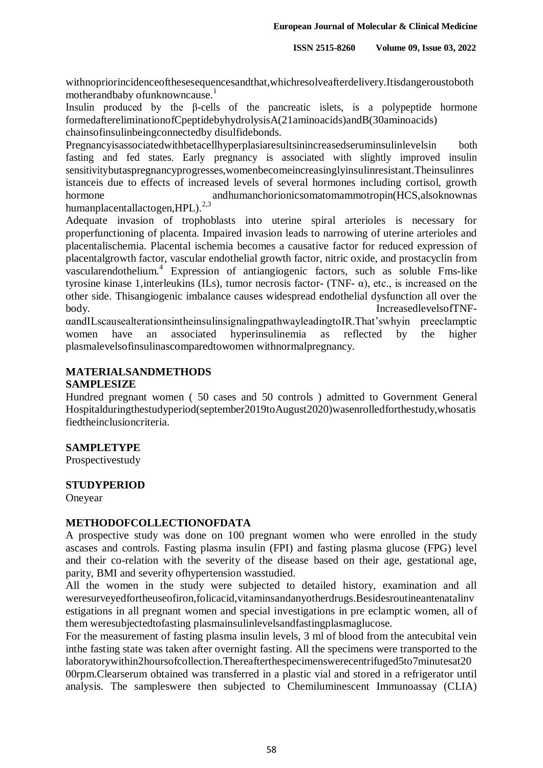withnopriorincidenceofthesesequencesandthat,whichresolveafterdelivery.Itisdangeroustoboth motherandbaby of unknowncause.<sup>1</sup>

Insulin produced by the  $\beta$ -cells of the pancreatic islets, is a polypeptide hormone formedaftereliminationofCpeptidebyhydrolysisA(21aminoacids)andB(30aminoacids) chainsofinsulinbeingconnectedby disulfidebonds.

Pregnancyisassociatedwithbetacellhyperplasiaresultsinincreasedseruminsulinlevelsin both fasting and fed states. Early pregnancy is associated with slightly improved insulin sensitivitybutaspregnancyprogresses,womenbecomeincreasinglyinsulinresistant.Theinsulinres istanceis due to effects of increased levels of several hormones including cortisol, growth hormone andhumanchorionicsomatomammotropin(HCS,alsoknownas humanplacentallactogen, HPL).<sup>2,3</sup>

Adequate invasion of trophoblasts into uterine spiral arterioles is necessary for properfunctioning of placenta. Impaired invasion leads to narrowing of uterine arterioles and placentalischemia. Placental ischemia becomes a causative factor for reduced expression of placentalgrowth factor, vascular endothelial growth factor, nitric oxide, and prostacyclin from vascularendothelium.<sup>4</sup> Expression of antiangiogenic factors, such as soluble Fms-like tyrosine kinase 1,interleukins (ILs), tumor necrosis factor- (TNF- α), etc., is increased on the other side. Thisangiogenic imbalance causes widespread endothelial dysfunction all over the body. IncreasedlevelsofTNF-

αandILscausealterationsintheinsulinsignalingpathwayleadingtoIR.That"swhyin preeclamptic women have an associated hyperinsulinemia as reflected by the higher plasmalevelsofinsulinascomparedtowomen withnormalpregnancy.

# **MATERIALSANDMETHODS**

# **SAMPLESIZE**

Hundred pregnant women ( 50 cases and 50 controls ) admitted to Government General Hospitalduringthestudyperiod(september2019toAugust2020)wasenrolledforthestudy,whosatis fiedtheinclusioncriteria.

# **SAMPLETYPE**

Prospectivestudy

# **STUDYPERIOD**

Oneyear

# **METHODOFCOLLECTIONOFDATA**

A prospective study was done on 100 pregnant women who were enrolled in the study ascases and controls. Fasting plasma insulin (FPI) and fasting plasma glucose (FPG) level and their co-relation with the severity of the disease based on their age, gestational age, parity, BMI and severity ofhypertension wasstudied.

All the women in the study were subjected to detailed history, examination and all weresurveyedfortheuseofiron,folicacid,vitaminsandanyotherdrugs.Besidesroutineantenatalinv estigations in all pregnant women and special investigations in pre eclamptic women, all of them weresubjectedtofasting plasmainsulinlevelsandfastingplasmaglucose.

For the measurement of fasting plasma insulin levels, 3 ml of blood from the antecubital vein inthe fasting state was taken after overnight fasting. All the specimens were transported to the laboratorywithin2hoursofcollection.Thereafterthespecimenswerecentrifuged5to7minutesat20

00rpm.Clearserum obtained was transferred in a plastic vial and stored in a refrigerator until analysis. The sampleswere then subjected to Chemiluminescent Immunoassay (CLIA)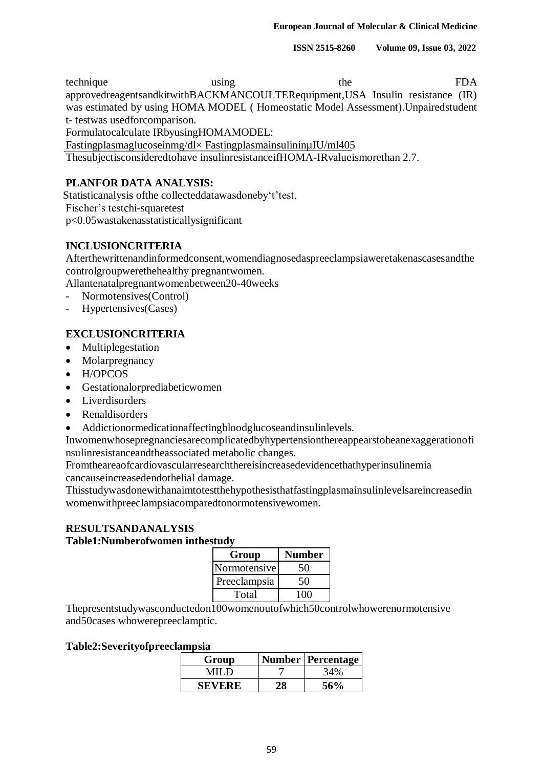**ISSN 2515-8260 Volume 09, Issue 03, 2022**

technique using the FDA approvedreagentsandkitwithBACKMANCOULTERequipment,USA Insulin resistance (IR) was estimated by using HOMA MODEL ( Homeostatic Model Assessment).Unpairedstudent t- testwas usedforcomparison.

Formulatocalculate IRbyusingHOMAMODEL:

Fastingplasmaglucoseinmg/dl× FastingplasmainsulininµIU/ml405

Thesubjectisconsideredtohave insulinresistanceifHOMA-IRvalueismorethan 2.7.

# **PLANFOR DATA ANALYSIS:**

Statisticanalysis of the collected datawasdone by 't' test, Fischer"s testchi-squaretest p<0.05wastakenasstatisticallysignificant

# **INCLUSIONCRITERIA**

Afterthewrittenandinformedconsent,womendiagnosedaspreeclampsiaweretakenascasesandthe controlgroupwerethehealthy pregnantwomen.

Allantenatalpregnantwomenbetween20-40weeks

- Normotensives(Control)
- Hypertensives(Cases)

# **EXCLUSIONCRITERIA**

- Multiplegestation
- Molarpregnancy
- H/OPCOS
- Gestationalorprediabeticwomen
- Liverdisorders
- Renaldisorders
- Addictionormedicationaffectingbloodglucoseandinsulinlevels.

Inwomenwhosepregnanciesarecomplicatedbyhypertensionthereappearstobeanexaggerationofi nsulinresistanceandtheassociated metabolic changes.

Fromtheareaofcardiovascularresearchthereisincreasedevidencethathyperinsulinemia cancauseincreasedendothelial damage.

Thisstudywasdonewithanaimtotestthehypothesisthatfastingplasmainsulinlevelsareincreasedin womenwithpreeclampsiacomparedtonormotensivewomen.

#### **RESULTSANDANALYSIS Table1:Numberofwomen inthestudy**

| Group        | <b>Number</b> |
|--------------|---------------|
| Normotensive | 50            |
| Preeclampsia | 50            |
| Total        | 100           |

Thepresentstudywasconductedon100womenoutofwhich50controlwhowerenormotensive and50cases whowerepreeclamptic.

# **Table2:Severityofpreeclampsia**

| Group  | Number   Percentage |
|--------|---------------------|
| MII D  | 34%                 |
| SEVERE | 56%                 |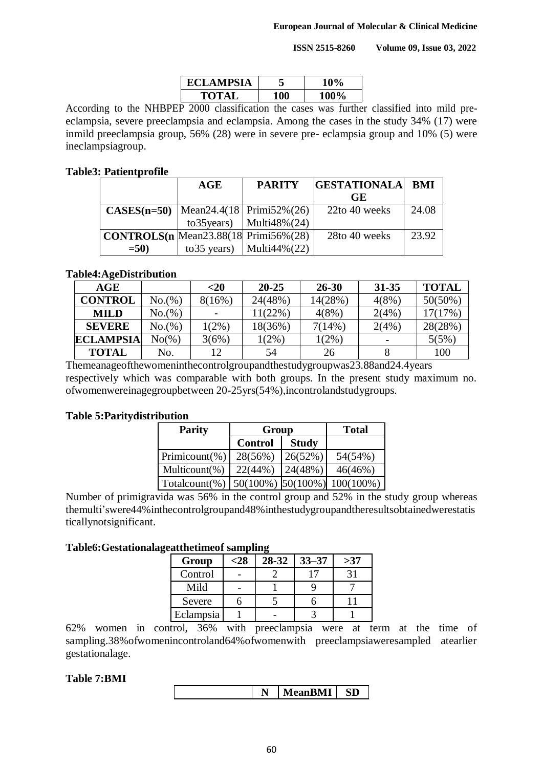**ISSN 2515-8260 Volume 09, Issue 03, 2022**

| <b>ECLAMPSIA</b> | $10\%$      |
|------------------|-------------|
| TOTAL            | <b>100%</b> |

According to the NHBPEP 2000 classification the cases was further classified into mild preeclampsia, severe preeclampsia and eclampsia. Among the cases in the study 34% (17) were inmild preeclampsia group, 56% (28) were in severe pre- eclampsia group and 10% (5) were ineclampsiagroup.

#### **Table3: Patientprofile**

|                                                 | AGE | <b>PARITY</b>                    | <b>GESTATIONALA</b> | <b>BMI</b> |
|-------------------------------------------------|-----|----------------------------------|---------------------|------------|
|                                                 |     |                                  | <b>GE</b>           |            |
| <b>CASES(n=50)</b>   Mean24.4(18   Primi52%(26) |     |                                  | 22to 40 weeks       | 24.08      |
|                                                 |     | to 35 years)   Multi $48\%$ (24) |                     |            |
| <b>CONTROLS(n</b> Mean23.88(18 Primi56%(28)     |     |                                  | 28to 40 weeks       | 23.92      |
| $=50$                                           |     | to 35 years)   Multi $44\%$ (22) |                     |            |

# **Table4:AgeDistribution**

| AGE              |          | $<$ 20   | $20 - 25$  | $26 - 30$ | $31 - 35$ | <b>TOTAL</b> |
|------------------|----------|----------|------------|-----------|-----------|--------------|
| <b>CONTROL</b>   | No.(%)   | 8(16%)   | 24(48%)    | 14(28%)   | $4(8\%)$  | 50(50%)      |
| <b>MILD</b>      | No.(%)   |          | $11(22\%)$ | $4(8\%)$  | 2(4%      | $17(17\%)$   |
| <b>SEVERE</b>    | No.(%)   | $1(2\%)$ | 18(36%)    | 7(14%)    | 2(4%      | 28(28%)      |
| <b>ECLAMPSIA</b> | $No(\%)$ | 3(6%)    | $1(2\%)$   | $1(2\%)$  |           | 5(5%)        |
| <b>TOTAL</b>     | No.      | 12       | 54         | 26        |           | 100          |

Themeanageofthewomeninthecontrolgroupandthestudygroupwas23.88and24.4years respectively which was comparable with both groups. In the present study maximum no. ofwomenwereinagegroupbetween 20-25yrs(54%),incontrolandstudygroups.

# **Table 5:Paritydistribution**

| <b>Parity</b>                                                     | Group          | <b>Total</b> |         |
|-------------------------------------------------------------------|----------------|--------------|---------|
|                                                                   | <b>Control</b> | <b>Study</b> |         |
| Primicount $(\%)$                                                 | 28(56%)        | 26(52%)      | 54(54%) |
| Multicount(%)                                                     | 22(44%)        | 24(48%)      | 46(46%) |
| $\vert$ Totalcount(%) $\vert$ 50(100%) $\vert$ 50(100%) 100(100%) |                |              |         |

Number of primigravida was 56% in the control group and 52% in the study group whereas themulti"swere44%inthecontrolgroupand48%inthestudygroupandtheresultsobtainedwerestatis ticallynotsignificant.

#### **Table6:Gestationalageatthetimeof sampling**

| Group     | <28 | 28-32 | $33 - 37$ | >37 |
|-----------|-----|-------|-----------|-----|
| Control   |     |       |           |     |
| Mild      |     |       |           |     |
| Severe    |     |       |           |     |
| Eclampsia |     |       |           |     |

62% women in control, 36% with preeclampsia were at term at the time of sampling.38%ofwomenincontroland64%ofwomenwith preeclampsiaweresampled atearlier gestationalage.

#### **Table 7:BMI**

|--|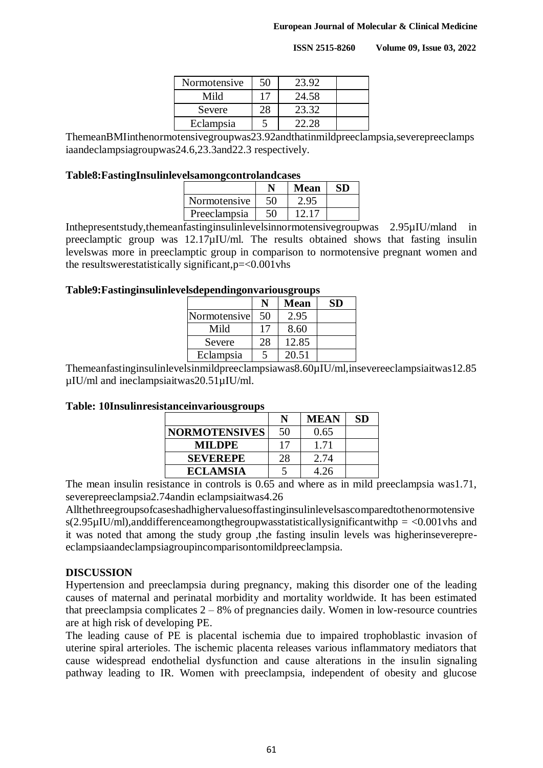**ISSN 2515-8260 Volume 09, Issue 03, 2022**

| Normotensive | 50 | 23.92 |  |
|--------------|----|-------|--|
| Mild         |    | 24.58 |  |
| Severe       |    | 23.32 |  |
| Eclampsia    |    | 22.28 |  |

ThemeanBMIinthenormotensivegroupwas23.92andthatinmildpreeclampsia,severepreeclamps iaandeclampsiagroupwas24.6,23.3and22.3 respectively.

#### **Table8:FastingInsulinlevelsamongcontrolandcases**

|                     |    | <b>Mean</b> | SD |
|---------------------|----|-------------|----|
| <b>Normotensive</b> | 50 | 2.95        |    |
| Preeclampsia        | 50 | 12.17       |    |

Inthepresentstudy,themeanfastinginsulinlevelsinnormotensivegroupwas 2.95µIU/mland in preeclamptic group was 12.17µIU/ml. The results obtained shows that fasting insulin levelswas more in preeclamptic group in comparison to normotensive pregnant women and the resultswerestatistically significant,p=<0.001vhs

#### **Table9:Fastinginsulinlevelsdependingonvariousgroups**

| o            |         |             |           |  |
|--------------|---------|-------------|-----------|--|
|              | $\bf N$ | <b>Mean</b> | <b>SD</b> |  |
| Normotensive | 50      | 2.95        |           |  |
| Mild         | 17      | 8.60        |           |  |
| Severe       | 28      | 12.85       |           |  |
| Eclampsia    |         | 20.51       |           |  |

Themeanfastinginsulinlevelsinmildpreeclampsiawas8.60µIU/ml,insevereeclampsiaitwas12.85 µIU/ml and ineclampsiaitwas20.51µIU/ml.

#### **Table: 10Insulinresistanceinvariousgroups**

|                      | N  | <b>MEAN</b> | SD |
|----------------------|----|-------------|----|
| <b>NORMOTENSIVES</b> | 50 | 0.65        |    |
| MILDPE.              | 17 | 1.71        |    |
| <b>SEVEREPE</b>      | 28 | 2.74        |    |
| <b>ECLAMSIA</b>      |    | 4.26        |    |

The mean insulin resistance in controls is 0.65 and where as in mild preeclampsia was1.71, severepreeclampsia2.74andin eclampsiaitwas4.26

Allthethreegroupsofcaseshadhighervaluesoffastinginsulinlevelsascomparedtothenormotensive s(2.95 $\mu$ IU/ml),anddifferenceamongthegroupwasstatisticallysignificantwithp = <0.001 vhs and it was noted that among the study group ,the fasting insulin levels was higherinseverepreeclampsiaandeclampsiagroupincomparisontomildpreeclampsia.

# **DISCUSSION**

Hypertension and preeclampsia during pregnancy, making this disorder one of the leading causes of maternal and perinatal morbidity and mortality worldwide. It has been estimated that preeclampsia complicates  $2 - 8%$  of pregnancies daily. Women in low-resource countries are at high risk of developing PE.

The leading cause of PE is placental ischemia due to impaired trophoblastic invasion of uterine spiral arterioles. The ischemic placenta releases various inflammatory mediators that cause widespread endothelial dysfunction and cause alterations in the insulin signaling pathway leading to IR. Women with preeclampsia, independent of obesity and glucose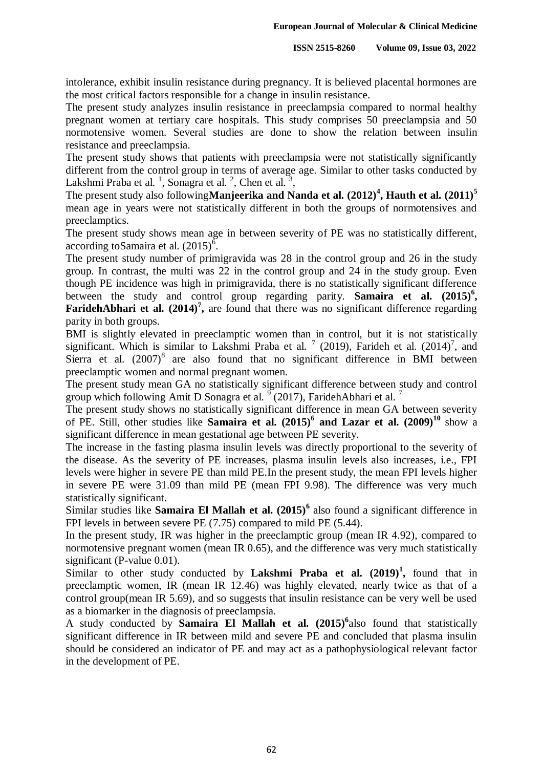intolerance, exhibit insulin resistance during pregnancy. It is believed placental hormones are the most critical factors responsible for a change in insulin resistance.

The present study analyzes insulin resistance in preeclampsia compared to normal healthy pregnant women at tertiary care hospitals. This study comprises 50 preeclampsia and 50 normotensive women. Several studies are done to show the relation between insulin resistance and preeclampsia.

The present study shows that patients with preeclampsia were not statistically significantly different from the control group in terms of average age. Similar to other tasks conducted by Lakshmi Praba et al.<sup>1</sup>, Sonagra et al.<sup>2</sup>, Chen et al.<sup>3</sup>,

The present study also following**Manjeerika and Nanda et al. (2012)<sup>4</sup> , Hauth et al. (2011)<sup>5</sup>** mean age in years were not statistically different in both the groups of normotensives and preeclamptics.

The present study shows mean age in between severity of PE was no statistically different, according to Samaira et al.  $(2015)^6$ .

The present study number of primigravida was 28 in the control group and 26 in the study group. In contrast, the multi was 22 in the control group and 24 in the study group. Even though PE incidence was high in primigravida, there is no statistically significant difference between the study and control group regarding parity. **Samaira et al. (2015)<sup>6</sup> ,**  FaridehAbhari et al. (2014)<sup>7</sup>, are found that there was no significant difference regarding parity in both groups.

BMI is slightly elevated in preeclamptic women than in control, but it is not statistically significant. Which is similar to Lakshmi Praba et al.  $^7$  (2019), Farideh et al. (2014)<sup>7</sup>, and Sierra et al.  $(2007)^8$  are also found that no significant difference in BMI between preeclamptic women and normal pregnant women.

The present study mean GA no statistically significant difference between study and control group which following Amit D Sonagra et al.  $\frac{9}{2}$  (2017), FaridehAbhari et al. 7

The present study shows no statistically significant difference in mean GA between severity of PE. Still, other studies like **Samaira et al. (2015)<sup>6</sup> and Lazar et al. (2009)<sup>10</sup>** show a significant difference in mean gestational age between PE severity.

The increase in the fasting plasma insulin levels was directly proportional to the severity of the disease. As the severity of PE increases, plasma insulin levels also increases, i.e., FPI levels were higher in severe PE than mild PE.In the present study, the mean FPI levels higher in severe PE were 31.09 than mild PE (mean FPI 9.98). The difference was very much statistically significant.

Similar studies like **Samaira El Mallah et al. (2015)<sup>6</sup>** also found a significant difference in FPI levels in between severe PE (7.75) compared to mild PE (5.44).

In the present study, IR was higher in the preeclamptic group (mean IR 4.92), compared to normotensive pregnant women (mean IR 0.65), and the difference was very much statistically significant (P-value 0.01).

Similar to other study conducted by **Lakshmi Praba et al. (2019)<sup>1</sup> ,** found that in preeclamptic women, IR (mean IR 12.46) was highly elevated, nearly twice as that of a control group(mean IR 5.69), and so suggests that insulin resistance can be very well be used as a biomarker in the diagnosis of preeclampsia.

A study conducted by **Samaira El Mallah et al. (2015)<sup>6</sup>** also found that statistically significant difference in IR between mild and severe PE and concluded that plasma insulin should be considered an indicator of PE and may act as a pathophysiological relevant factor in the development of PE.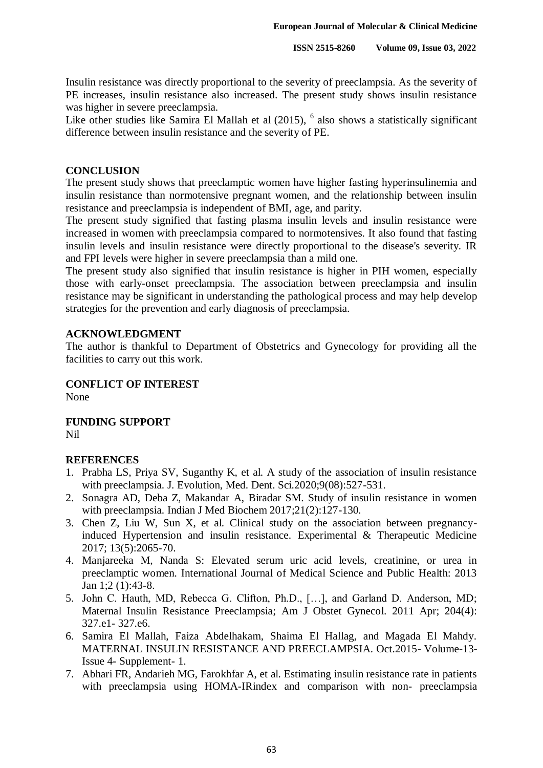Insulin resistance was directly proportional to the severity of preeclampsia. As the severity of PE increases, insulin resistance also increased. The present study shows insulin resistance was higher in severe preeclampsia.

Like other studies like Samira El Mallah et al (2015), <sup>6</sup> also shows a statistically significant difference between insulin resistance and the severity of PE.

#### **CONCLUSION**

The present study shows that preeclamptic women have higher fasting hyperinsulinemia and insulin resistance than normotensive pregnant women, and the relationship between insulin resistance and preeclampsia is independent of BMI, age, and parity.

The present study signified that fasting plasma insulin levels and insulin resistance were increased in women with preeclampsia compared to normotensives. It also found that fasting insulin levels and insulin resistance were directly proportional to the disease's severity. IR and FPI levels were higher in severe preeclampsia than a mild one.

The present study also signified that insulin resistance is higher in PIH women, especially those with early-onset preeclampsia. The association between preeclampsia and insulin resistance may be significant in understanding the pathological process and may help develop strategies for the prevention and early diagnosis of preeclampsia.

# **ACKNOWLEDGMENT**

The author is thankful to Department of Obstetrics and Gynecology for providing all the facilities to carry out this work.

# **CONFLICT OF INTEREST**

None

**FUNDING SUPPORT** Nil

# **REFERENCES**

- 1. Prabha LS, Priya SV, Suganthy K, et al. A study of the association of insulin resistance with preeclampsia. J. Evolution, Med. Dent. Sci.2020;9(08):527-531.
- 2. Sonagra AD, Deba Z, Makandar A, Biradar SM. Study of insulin resistance in women with preeclampsia. Indian J Med Biochem 2017;21(2):127-130.
- 3. Chen Z, Liu W, Sun X, et al. Clinical study on the association between pregnancyinduced Hypertension and insulin resistance. Experimental & Therapeutic Medicine 2017; 13(5):2065-70.
- 4. Manjareeka M, Nanda S: Elevated serum uric acid levels, creatinine, or urea in preeclamptic women. International Journal of Medical Science and Public Health: 2013 Jan 1;2 (1):43-8.
- 5. John C. Hauth, MD, Rebecca G. Clifton, Ph.D., […], and Garland D. Anderson, MD; Maternal Insulin Resistance Preeclampsia; Am J Obstet Gynecol. 2011 Apr; 204(4): 327.e1- 327.e6.
- 6. Samira El Mallah, Faiza Abdelhakam, Shaima El Hallag, and Magada El Mahdy. MATERNAL INSULIN RESISTANCE AND PREECLAMPSIA. Oct.2015- Volume-13- Issue 4- Supplement- 1.
- 7. Abhari FR, Andarieh MG, Farokhfar A, et al. Estimating insulin resistance rate in patients with preeclampsia using HOMA-IRindex and comparison with non- preeclampsia